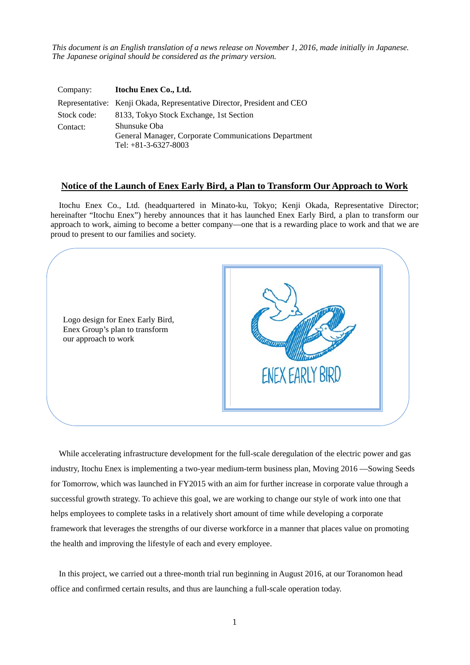*This document is an English translation of a news release on November 1, 2016, made initially in Japanese. The Japanese original should be considered as the primary version.*

| Company:    | Itochu Enex Co., Ltd.                                                                          |
|-------------|------------------------------------------------------------------------------------------------|
|             | Representative: Kenji Okada, Representative Director, President and CEO                        |
| Stock code: | 8133, Tokyo Stock Exchange, 1st Section                                                        |
| Contact:    | Shunsuke Oba<br>General Manager, Corporate Communications Department<br>Tel: $+81-3-6327-8003$ |

## **Notice of the Launch of Enex Early Bird, a Plan to Transform Our Approach to Work**

Itochu Enex Co., Ltd. (headquartered in Minato-ku, Tokyo; Kenji Okada, Representative Director; hereinafter "Itochu Enex") hereby announces that it has launched Enex Early Bird, a plan to transform our approach to work, aiming to become a better company—one that is a rewarding place to work and that we are proud to present to our families and society.



While accelerating infrastructure development for the full-scale deregulation of the electric power and gas industry, Itochu Enex is implementing a two-year medium-term business plan, Moving 2016 —Sowing Seeds for Tomorrow, which was launched in FY2015 with an aim for further increase in corporate value through a successful growth strategy. To achieve this goal, we are working to change our style of work into one that helps employees to complete tasks in a relatively short amount of time while developing a corporate framework that leverages the strengths of our diverse workforce in a manner that places value on promoting the health and improving the lifestyle of each and every employee.

In this project, we carried out a three-month trial run beginning in August 2016, at our Toranomon head office and confirmed certain results, and thus are launching a full-scale operation today.